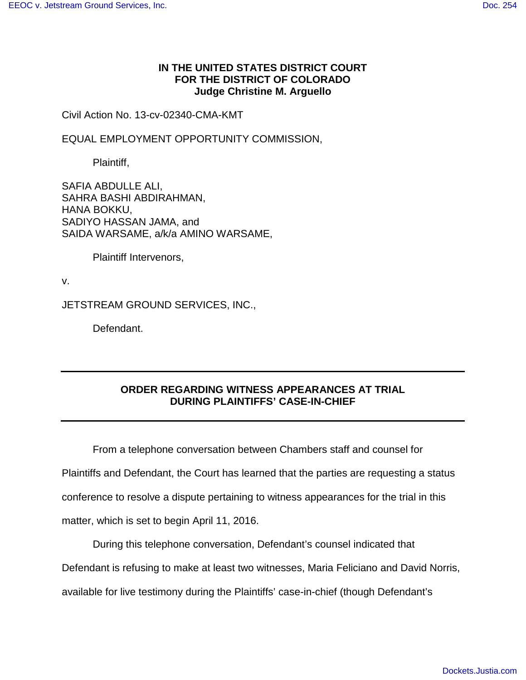## **IN THE UNITED STATES DISTRICT COURT FOR THE DISTRICT OF COLORADO Judge Christine M. Arguello**

Civil Action No. 13-cv-02340-CMA-KMT

EQUAL EMPLOYMENT OPPORTUNITY COMMISSION,

Plaintiff,

SAFIA ABDULLE ALI, SAHRA BASHI ABDIRAHMAN, HANA BOKKU, SADIYO HASSAN JAMA, and SAIDA WARSAME, a/k/a AMINO WARSAME,

Plaintiff Intervenors,

v.

JETSTREAM GROUND SERVICES, INC.,

Defendant.

## **ORDER REGARDING WITNESS APPEARANCES AT TRIAL DURING PLAINTIFFS' CASE-IN-CHIEF**

From a telephone conversation between Chambers staff and counsel for Plaintiffs and Defendant, the Court has learned that the parties are requesting a status

conference to resolve a dispute pertaining to witness appearances for the trial in this

matter, which is set to begin April 11, 2016.

During this telephone conversation, Defendant's counsel indicated that

Defendant is refusing to make at least two witnesses, Maria Feliciano and David Norris,

available for live testimony during the Plaintiffs' case-in-chief (though Defendant's